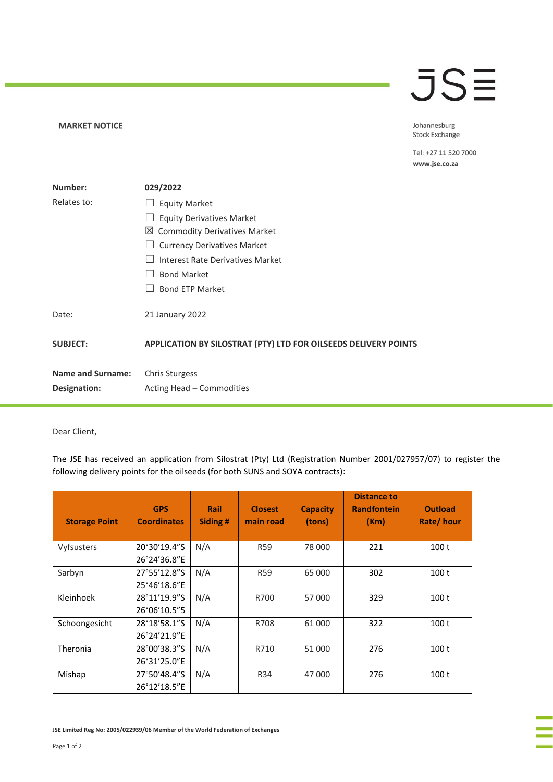## **JSE**

**MARKET NOTICE** 

Johannesburg **Stock Exchange** 

Tel: +27 11 520 7000 www.jse.co.za

| Number:                  | 029/2022                                                        |  |  |  |
|--------------------------|-----------------------------------------------------------------|--|--|--|
| Relates to:              | <b>Equity Market</b>                                            |  |  |  |
|                          | <b>Equity Derivatives Market</b>                                |  |  |  |
|                          | 凶 Commodity Derivatives Market                                  |  |  |  |
|                          | <b>Currency Derivatives Market</b>                              |  |  |  |
|                          | Interest Rate Derivatives Market                                |  |  |  |
|                          | <b>Bond Market</b>                                              |  |  |  |
|                          | <b>Bond ETP Market</b>                                          |  |  |  |
| Date:                    | 21 January 2022                                                 |  |  |  |
| <b>SUBJECT:</b>          | APPLICATION BY SILOSTRAT (PTY) LTD FOR OILSEEDS DELIVERY POINTS |  |  |  |
| <b>Name and Surname:</b> | Chris Sturgess                                                  |  |  |  |
| Designation:             | Acting Head – Commodities                                       |  |  |  |

Dear Client,

The JSE has received an application from Silostrat (Pty) Ltd (Registration Number 2001/027957/07) to register the following delivery points for the oilseeds (for both SUNS and SOYA contracts):

| <b>Storage Point</b> | <b>GPS</b><br><b>Coordinates</b> | Rail<br>Siding # | <b>Closest</b><br>main road | <b>Capacity</b><br>(tons) | <b>Distance to</b><br><b>Randfontein</b><br>(Km) | <b>Outload</b><br>Rate/hour |
|----------------------|----------------------------------|------------------|-----------------------------|---------------------------|--------------------------------------------------|-----------------------------|
| Vyfsusters           | 20°30'19.4"S<br>26°24'36.8"E     | N/A              | <b>R59</b>                  | 78 000                    | 221                                              | 100 <sub>t</sub>            |
| Sarbyn               | 27°55'12.8"S<br>25°46'18.6"E     | N/A              | <b>R59</b>                  | 65 000                    | 302                                              | 100 <sub>t</sub>            |
| Kleinhoek            | 28°11'19.9"S<br>26°06'10.5"5     | N/A              | R700                        | 57 000                    | 329                                              | 100 <sub>t</sub>            |
| Schoongesicht        | 28°18'58.1"S<br>26°24'21.9"E     | N/A              | R708                        | 61 000                    | 322                                              | 100 <sub>t</sub>            |
| Theronia             | 28°00'38.3"S<br>26°31'25.0"E     | N/A              | R710                        | 51 000                    | 276                                              | 100 <sub>t</sub>            |
| Mishap               | 27°50'48.4"S<br>26°12'18.5"E     | N/A              | R34                         | 47 000                    | 276                                              | 100 <sub>t</sub>            |